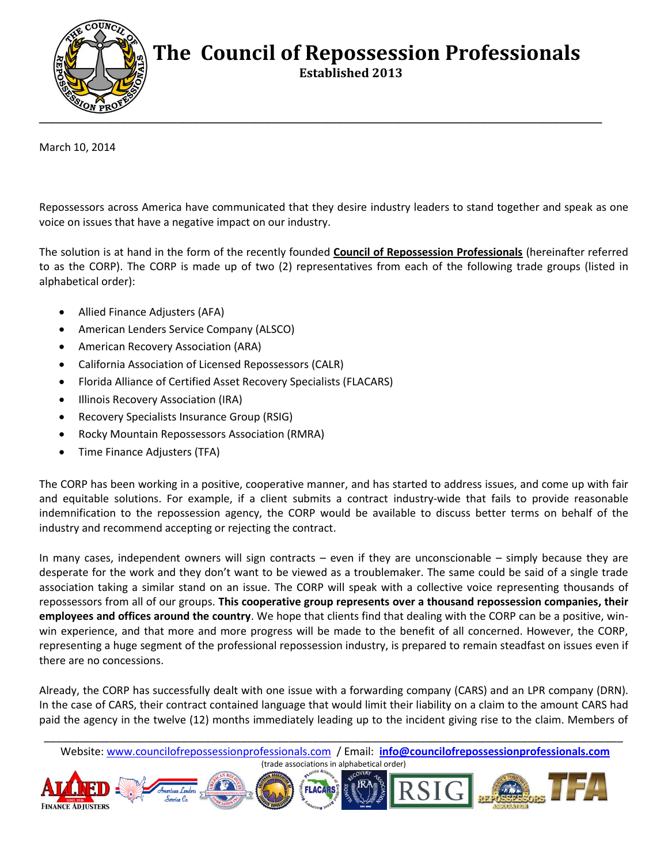

## **The Council of Repossession Professionals**

 **Established 2013**

March 10, 2014

Repossessors across America have communicated that they desire industry leaders to stand together and speak as one voice on issues that have a negative impact on our industry.

The solution is at hand in the form of the recently founded **Council of Repossession Professionals** (hereinafter referred to as the CORP). The CORP is made up of two (2) representatives from each of the following trade groups (listed in alphabetical order):

- Allied Finance Adjusters (AFA)
- American Lenders Service Company (ALSCO)
- American Recovery Association (ARA)
- California Association of Licensed Repossessors (CALR)
- Florida Alliance of Certified Asset Recovery Specialists (FLACARS)
- Illinois Recovery Association (IRA)
- Recovery Specialists Insurance Group (RSIG)
- Rocky Mountain Repossessors Association (RMRA)
- Time Finance Adjusters (TFA)

The CORP has been working in a positive, cooperative manner, and has started to address issues, and come up with fair and equitable solutions. For example, if a client submits a contract industry-wide that fails to provide reasonable indemnification to the repossession agency, the CORP would be available to discuss better terms on behalf of the industry and recommend accepting or rejecting the contract.

In many cases, independent owners will sign contracts – even if they are unconscionable – simply because they are desperate for the work and they don't want to be viewed as a troublemaker. The same could be said of a single trade association taking a similar stand on an issue. The CORP will speak with a collective voice representing thousands of repossessors from all of our groups. **This cooperative group represents over a thousand repossession companies, their employees and offices around the country**. We hope that clients find that dealing with the CORP can be a positive, winwin experience, and that more and more progress will be made to the benefit of all concerned. However, the CORP, representing a huge segment of the professional repossession industry, is prepared to remain steadfast on issues even if there are no concessions.

Already, the CORP has successfully dealt with one issue with a forwarding company (CARS) and an LPR company (DRN). In the case of CARS, their contract contained language that would limit their liability on a claim to the amount CARS had paid the agency in the twelve (12) months immediately leading up to the incident giving rise to the claim. Members of

\_\_\_\_\_\_\_\_\_\_\_\_\_\_\_\_\_\_\_\_\_\_\_\_\_\_\_\_\_\_\_\_\_\_\_\_\_\_\_\_\_\_\_\_\_\_\_\_\_\_\_\_\_\_\_\_\_\_\_\_\_\_\_\_\_\_\_\_\_\_\_\_\_\_\_\_\_\_\_\_\_\_\_\_\_\_\_\_\_\_\_\_\_\_\_\_\_ Website: www.councilofrepossessionprofessionals.com / Email: **info@councilofrepossessionprofessionals.com** (trade associations in alphabetical order)

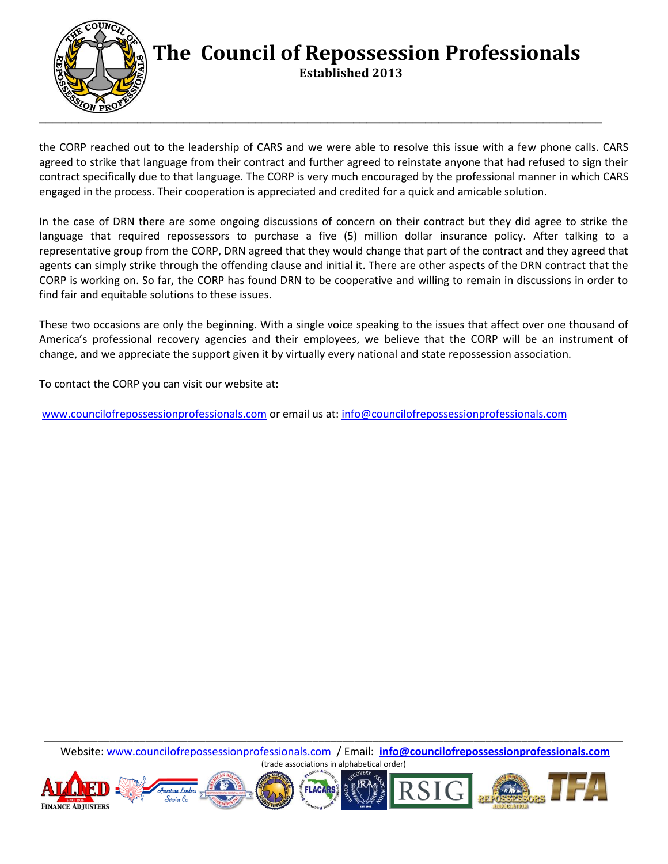

## **The Council of Repossession Professionals**

 **Established 2013**

the CORP reached out to the leadership of CARS and we were able to resolve this issue with a few phone calls. CARS agreed to strike that language from their contract and further agreed to reinstate anyone that had refused to sign their contract specifically due to that language. The CORP is very much encouraged by the professional manner in which CARS engaged in the process. Their cooperation is appreciated and credited for a quick and amicable solution.

In the case of DRN there are some ongoing discussions of concern on their contract but they did agree to strike the language that required repossessors to purchase a five (5) million dollar insurance policy. After talking to a representative group from the CORP, DRN agreed that they would change that part of the contract and they agreed that agents can simply strike through the offending clause and initial it. There are other aspects of the DRN contract that the CORP is working on. So far, the CORP has found DRN to be cooperative and willing to remain in discussions in order to find fair and equitable solutions to these issues.

These two occasions are only the beginning. With a single voice speaking to the issues that affect over one thousand of America's professional recovery agencies and their employees, we believe that the CORP will be an instrument of change, and we appreciate the support given it by virtually every national and state repossession association.

To contact the CORP you can visit our website at:

[www.councilofrepossessionprofessionals.com](http://www.councilofrepossessionprofessionals.com/) or email us at: [info@councilofrepossessionprofessionals.com](mailto:info@councilofrepossessionprofessionals.com)

\_\_\_\_\_\_\_\_\_\_\_\_\_\_\_\_\_\_\_\_\_\_\_\_\_\_\_\_\_\_\_\_\_\_\_\_\_\_\_\_\_\_\_\_\_\_\_\_\_\_\_\_\_\_\_\_\_\_\_\_\_\_\_\_\_\_\_\_\_\_\_\_\_\_\_\_\_\_\_\_\_\_\_\_\_\_\_\_\_\_\_\_\_\_\_\_\_ Website: www.councilofrepossessionprofessionals.com / Email: **info@councilofrepossessionprofessionals.com** (trade associations in alphabetical order)